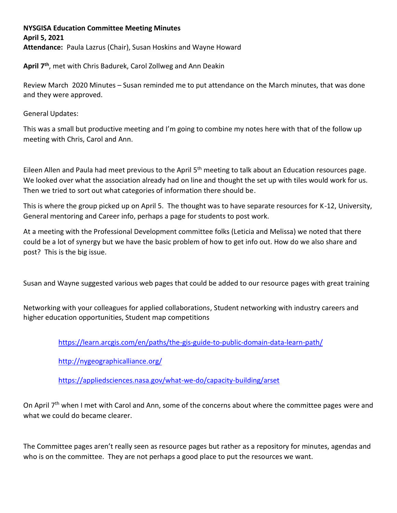## **NYSGISA Education Committee Meeting Minutes April 5, 2021 Attendance:** Paula Lazrus (Chair), Susan Hoskins and Wayne Howard

**April 7th**, met with Chris Badurek, Carol Zollweg and Ann Deakin

Review March 2020 Minutes – Susan reminded me to put attendance on the March minutes, that was done and they were approved.

General Updates:

This was a small but productive meeting and I'm going to combine my notes here with that of the follow up meeting with Chris, Carol and Ann.

Eileen Allen and Paula had meet previous to the April 5<sup>th</sup> meeting to talk about an Education resources page. We looked over what the association already had on line and thought the set up with tiles would work for us. Then we tried to sort out what categories of information there should be.

This is where the group picked up on April 5. The thought was to have separate resources for K-12, University, General mentoring and Career info, perhaps a page for students to post work.

At a meeting with the Professional Development committee folks (Leticia and Melissa) we noted that there could be a lot of synergy but we have the basic problem of how to get info out. How do we also share and post? This is the big issue.

Susan and Wayne suggested various web pages that could be added to our resource pages with great training

Networking with your colleagues for applied collaborations, Student networking with industry careers and higher education opportunities, Student map competitions

<https://learn.arcgis.com/en/paths/the-gis-guide-to-public-domain-data-learn-path/>

<http://nygeographicalliance.org/>

<https://appliedsciences.nasa.gov/what-we-do/capacity-building/arset>

On April 7<sup>th</sup> when I met with Carol and Ann, some of the concerns about where the committee pages were and what we could do became clearer.

The Committee pages aren't really seen as resource pages but rather as a repository for minutes, agendas and who is on the committee. They are not perhaps a good place to put the resources we want.